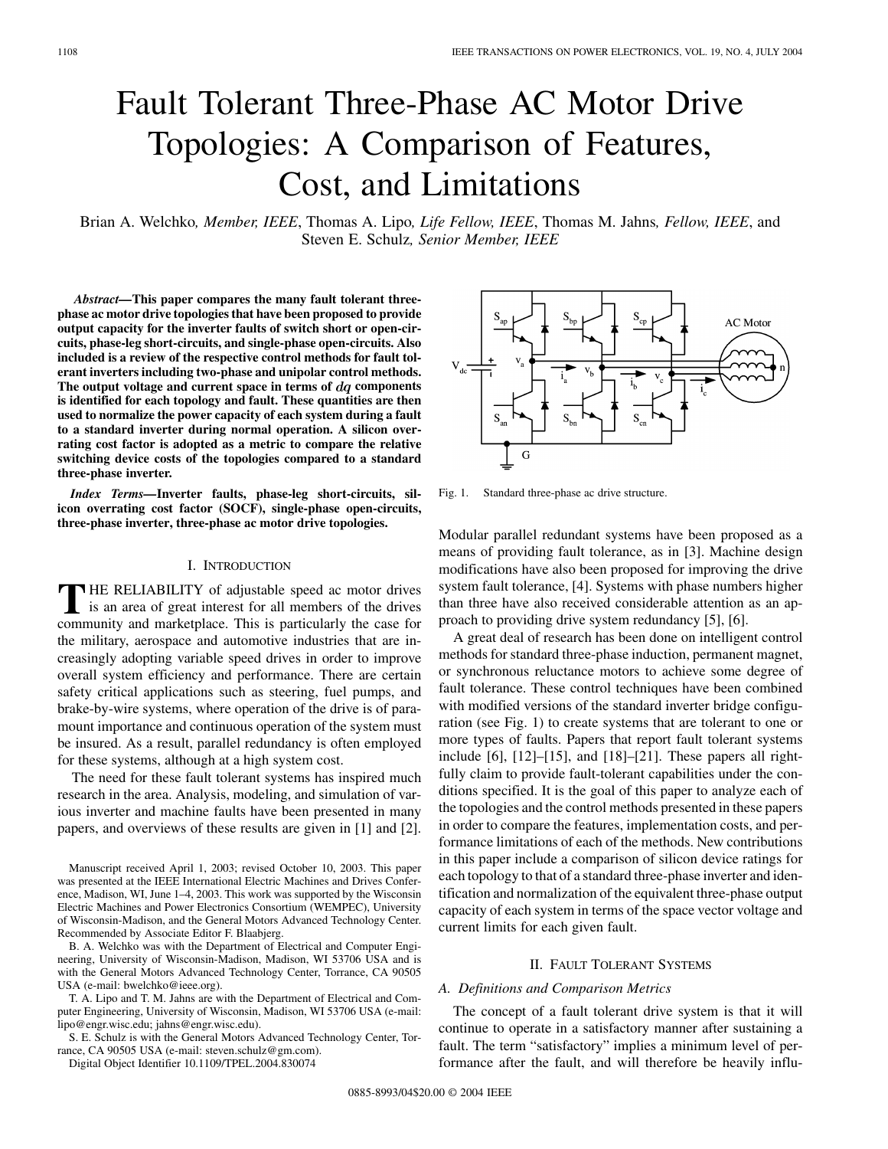# Fault Tolerant Three-Phase AC Motor Drive Topologies: A Comparison of Features, Cost, and Limitations

Brian A. Welchko*, Member, IEEE*, Thomas A. Lipo*, Life Fellow, IEEE*, Thomas M. Jahns*, Fellow, IEEE*, and Steven E. Schulz*, Senior Member, IEEE*

*Abstract—***This paper compares the many fault tolerant threephase ac motor drive topologies that have been proposed to provide output capacity for the inverter faults of switch short or open-circuits, phase-leg short-circuits, and single-phase open-circuits. Also included is a review of the respective control methods for fault tolerant inverters including two-phase and unipolar control methods.** The output voltage and current space in terms of  $dq$  components **is identified for each topology and fault. These quantities are then used to normalize the power capacity of each system during a fault to a standard inverter during normal operation. A silicon overrating cost factor is adopted as a metric to compare the relative switching device costs of the topologies compared to a standard three-phase inverter.**

*Index Terms—***Inverter faults, phase-leg short-circuits, silicon overrating cost factor (SOCF), single-phase open-circuits, three-phase inverter, three-phase ac motor drive topologies.**

#### I. INTRODUCTION

**T** HE RELIABILITY of adjustable speed ac motor drives<br>is an area of great interest for all members of the drives community and marketplace. This is particularly the case for the military, aerospace and automotive industries that are increasingly adopting variable speed drives in order to improve overall system efficiency and performance. There are certain safety critical applications such as steering, fuel pumps, and brake-by-wire systems, where operation of the drive is of paramount importance and continuous operation of the system must be insured. As a result, parallel redundancy is often employed for these systems, although at a high system cost.

The need for these fault tolerant systems has inspired much research in the area. Analysis, modeling, and simulation of various inverter and machine faults have been presented in many papers, and overviews of these results are given in [\[1](#page-7-0)] and [[2\]](#page-7-0).

Manuscript received April 1, 2003; revised October 10, 2003. This paper was presented at the IEEE International Electric Machines and Drives Conference, Madison, WI, June 1–4, 2003. This work was supported by the Wisconsin Electric Machines and Power Electronics Consortium (WEMPEC), University of Wisconsin-Madison, and the General Motors Advanced Technology Center. Recommended by Associate Editor F. Blaabjerg.

B. A. Welchko was with the Department of Electrical and Computer Engineering, University of Wisconsin-Madison, Madison, WI 53706 USA and is with the General Motors Advanced Technology Center, Torrance, CA 90505 USA (e-mail: bwelchko@ieee.org).

T. A. Lipo and T. M. Jahns are with the Department of Electrical and Computer Engineering, University of Wisconsin, Madison, WI 53706 USA (e-mail: lipo@engr.wisc.edu; jahns@engr.wisc.edu).

S. E. Schulz is with the General Motors Advanced Technology Center, Torrance, CA 90505 USA (e-mail: steven.schulz@gm.com).

Digital Object Identifier 10.1109/TPEL.2004.830074



Fig. 1. Standard three-phase ac drive structure.

Modular parallel redundant systems have been proposed as a means of providing fault tolerance, as in [\[3](#page-7-0)]. Machine design modifications have also been proposed for improving the drive system fault tolerance, [[4\]](#page-7-0). Systems with phase numbers higher than three have also received considerable attention as an approach to providing drive system redundancy [[5\]](#page-7-0), [[6\]](#page-7-0).

A great deal of research has been done on intelligent control methods for standard three-phase induction, permanent magnet, or synchronous reluctance motors to achieve some degree of fault tolerance. These control techniques have been combined with modified versions of the standard inverter bridge configuration (see Fig. 1) to create systems that are tolerant to one or more types of faults. Papers that report fault tolerant systems include [\[6\]](#page-7-0), [[12\]](#page-7-0)–[\[15](#page-7-0)], and [\[18](#page-8-0)]–[[21\]](#page-8-0). These papers all rightfully claim to provide fault-tolerant capabilities under the conditions specified. It is the goal of this paper to analyze each of the topologies and the control methods presented in these papers in order to compare the features, implementation costs, and performance limitations of each of the methods. New contributions in this paper include a comparison of silicon device ratings for each topology to that of a standard three-phase inverter and identification and normalization of the equivalent three-phase output capacity of each system in terms of the space vector voltage and current limits for each given fault.

## II. FAULT TOLERANT SYSTEMS

## *A. Definitions and Comparison Metrics*

The concept of a fault tolerant drive system is that it will continue to operate in a satisfactory manner after sustaining a fault. The term "satisfactory" implies a minimum level of performance after the fault, and will therefore be heavily influ-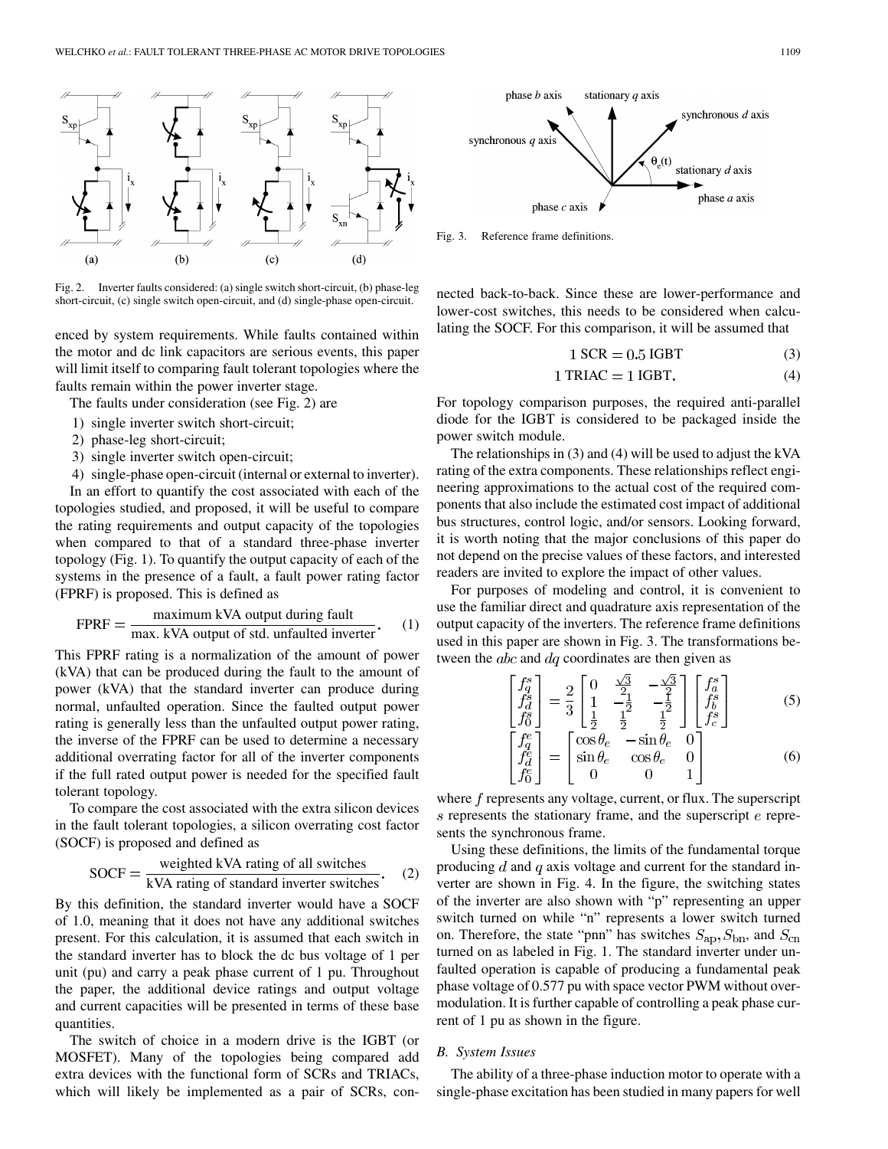

Fig. 2. Inverter faults considered: (a) single switch short-circuit, (b) phase-leg short-circuit, (c) single switch open-circuit, and (d) single-phase open-circuit.

enced by system requirements. While faults contained within the motor and dc link capacitors are serious events, this paper will limit itself to comparing fault tolerant topologies where the faults remain within the power inverter stage.

The faults under consideration (see Fig. 2) are

- 1) single inverter switch short-circuit;
- 2) phase-leg short-circuit;
- 3) single inverter switch open-circuit;

4) single-phase open-circuit (internal or external to inverter). In an effort to quantify the cost associated with each of the topologies studied, and proposed, it will be useful to compare the rating requirements and output capacity of the topologies when compared to that of a standard three-phase inverter topology (Fig. 1). To quantify the output capacity of each of the systems in the presence of a fault, a fault power rating factor (FPRF) is proposed. This is defined as

$$
FPRF = \frac{\text{maximum kVA output during fault}}{\text{max. kVA output of std. unfaulted inverter}}.
$$
 (1)

This FPRF rating is a normalization of the amount of power (kVA) that can be produced during the fault to the amount of power (kVA) that the standard inverter can produce during normal, unfaulted operation. Since the faulted output power rating is generally less than the unfaulted output power rating, the inverse of the FPRF can be used to determine a necessary additional overrating factor for all of the inverter components if the full rated output power is needed for the specified fault tolerant topology.

To compare the cost associated with the extra silicon devices in the fault tolerant topologies, a silicon overrating cost factor (SOCF) is proposed and defined as

$$
SOCF = \frac{\text{weighted kVA rating of all switches}}{\text{kVA rating of standard inverter switches}}.
$$
 (2)

By this definition, the standard inverter would have a SOCF of 1.0, meaning that it does not have any additional switches present. For this calculation, it is assumed that each switch in the standard inverter has to block the dc bus voltage of 1 per unit (pu) and carry a peak phase current of 1 pu. Throughout the paper, the additional device ratings and output voltage and current capacities will be presented in terms of these base quantities.

The switch of choice in a modern drive is the IGBT (or MOSFET). Many of the topologies being compared add extra devices with the functional form of SCRs and TRIACs, which will likely be implemented as a pair of SCRs, con-



Fig. 3. Reference frame definitions.

nected back-to-back. Since these are lower-performance and lower-cost switches, this needs to be considered when calculating the SOCF. For this comparison, it will be assumed that

$$
1 \text{ SCR} = 0.5 \text{ IGBT} \tag{3}
$$

$$
1 \text{ TRIAC} = 1 \text{ IGBT.} \tag{4}
$$

For topology comparison purposes, the required anti-parallel diode for the IGBT is considered to be packaged inside the power switch module.

The relationships in (3) and (4) will be used to adjust the kVA rating of the extra components. These relationships reflect engineering approximations to the actual cost of the required components that also include the estimated cost impact of additional bus structures, control logic, and/or sensors. Looking forward, it is worth noting that the major conclusions of this paper do not depend on the precise values of these factors, and interested readers are invited to explore the impact of other values.

For purposes of modeling and control, it is convenient to use the familiar direct and quadrature axis representation of the output capacity of the inverters. The reference frame definitions used in this paper are shown in Fig. 3. The transformations between the *abc* and  $dq$  coordinates are then given as

$$
\begin{bmatrix} f_g^s \\ f_d^s \\ f_0^s \end{bmatrix} = \frac{2}{3} \begin{bmatrix} 0 & \frac{\sqrt{3}}{2} & -\frac{\sqrt{3}}{2} \\ 1 & -\frac{1}{2} & -\frac{1}{2} \\ \frac{1}{2} & \frac{1}{2} & \frac{1}{2} \end{bmatrix} \begin{bmatrix} f_a^s \\ f_b^s \\ f_c^s \end{bmatrix}
$$
 (5)

$$
\begin{bmatrix}\nJ_q \\
f_d^e \\
f_0^e\n\end{bmatrix} = \begin{bmatrix}\n\cos \theta_e & -\sin \theta_e & 0 \\
\sin \theta_e & \cos \theta_e & 0 \\
0 & 0 & 1\n\end{bmatrix}
$$
\n(6)

where  $f$  represents any voltage, current, or flux. The superscript  $s$  represents the stationary frame, and the superscript  $e$  represents the synchronous frame.

Using these definitions, the limits of the fundamental torque producing  $d$  and  $q$  axis voltage and current for the standard inverter are shown in Fig. 4. In the figure, the switching states of the inverter are also shown with "p" representing an upper switch turned on while "n" represents a lower switch turned on. Therefore, the state "pnn" has switches  $S_{\rm ap}$ ,  $S_{\rm bn}$ , and  $S_{\rm cn}$ turned on as labeled in Fig. 1. The standard inverter under unfaulted operation is capable of producing a fundamental peak phase voltage of 0.577 pu with space vector PWM without overmodulation. It is further capable of controlling a peak phase current of 1 pu as shown in the figure.

## *B. System Issues*

The ability of a three-phase induction motor to operate with a single-phase excitation has been studied in many papers for well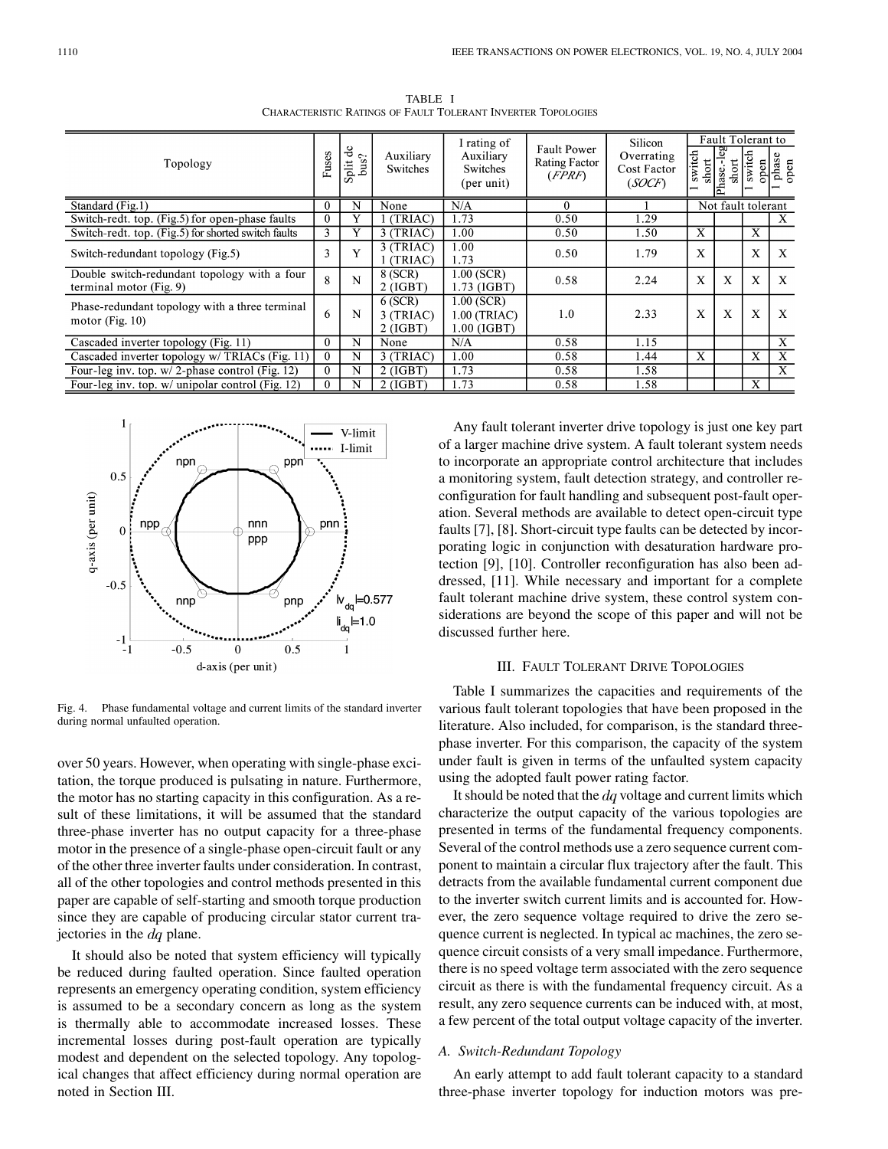| Topology                                                                | Fuses    | ಕ<br>$\sim$<br>`sud<br>Split | Auxiliary<br>Switches               | I rating of<br>Auxiliary<br>Switches<br>(per unit) | <b>Fault Power</b><br>Rating Factor<br>(FPRF) | Silicon<br>Overrating<br>Cost Factor<br>(SOCF) | switch<br>short | Fault Tolerant to<br>egi<br>short<br>Phase. | switch<br>open | phase<br>open           |
|-------------------------------------------------------------------------|----------|------------------------------|-------------------------------------|----------------------------------------------------|-----------------------------------------------|------------------------------------------------|-----------------|---------------------------------------------|----------------|-------------------------|
| Standard (Fig.1)                                                        | $\theta$ | N                            | None                                | N/A                                                | $\Omega$                                      |                                                |                 | Not fault tolerant                          |                |                         |
| Switch-redt. top. (Fig.5) for open-phase faults                         | $\theta$ |                              | (TRIAC)                             | 1.73                                               | 0.50                                          | 1.29                                           |                 |                                             |                | X                       |
| Switch-redt. top. (Fig.5) for shorted switch faults                     | 3        | Y                            | 3 (TRIAC)                           | 1.00                                               | 0.50                                          | 1.50                                           | X               |                                             | X              |                         |
| Switch-redundant topology (Fig.5)                                       | 3        | $\mathbf{v}$                 | $3$ (TRIAC)<br>(TRIAC)              | 1.00<br>1.73                                       | 0.50                                          | 1.79                                           | X               |                                             | X              | X                       |
| Double switch-redundant topology with a four<br>terminal motor (Fig. 9) | 8        | N                            | 8 (SCR)<br>$2$ (IGBT)               | $1.00$ (SCR)<br>$1.73$ (IGBT)                      | 0.58                                          | 2.24                                           | $\mathbf{x}$    | $\mathbf{x}$                                | X              | $\mathbf{x}$            |
| Phase-redundant topology with a three terminal<br>motor (Fig. $10$ )    | 6        | N                            | 6(SCR)<br>$3$ (TRIAC)<br>$2$ (IGBT) | $1.00$ (SCR)<br>1.00 (TRIAC)<br>$1.00$ (IGBT)      | 1.0                                           | 2.33                                           | $\mathbf{X}$    | $\mathbf{X}$                                | $\mathbf{X}$   | $\mathbf{x}$            |
| Cascaded inverter topology (Fig. 11)                                    | $\Omega$ | N                            | None                                | N/A                                                | 0.58                                          | 1.15                                           |                 |                                             |                | X                       |
| Cascaded inverter topology w/ TRIACs (Fig. 11)                          | $\theta$ | N                            | 3 (TRIAC)                           | 1.00                                               | 0.58                                          | 44. ا                                          | X               |                                             | X              | $\overline{X}$          |
| Four-leg inv. top. w/ 2-phase control (Fig. 12)                         | $\theta$ | N                            | $2$ (IGBT)                          | 1.73                                               | 0.58                                          | 1.58                                           |                 |                                             |                | $\overline{\mathbf{x}}$ |
| Four-leg inv. top. w/ unipolar control (Fig. 12)                        | $\theta$ | N                            | $2$ (IGBT)                          | 1.73                                               | 0.58                                          | l.58                                           |                 |                                             | X              |                         |

TABLE I CHARACTERISTIC RATINGS OF FAULT TOLERANT INVERTER TOPOLOGIES



Fig. 4. Phase fundamental voltage and current limits of the standard inverter during normal unfaulted operation.

over 50 years. However, when operating with single-phase excitation, the torque produced is pulsating in nature. Furthermore, the motor has no starting capacity in this configuration. As a result of these limitations, it will be assumed that the standard three-phase inverter has no output capacity for a three-phase motor in the presence of a single-phase open-circuit fault or any of the other three inverter faults under consideration. In contrast, all of the other topologies and control methods presented in this paper are capable of self-starting and smooth torque production since they are capable of producing circular stator current trajectories in the  $dq$  plane.

It should also be noted that system efficiency will typically be reduced during faulted operation. Since faulted operation represents an emergency operating condition, system efficiency is assumed to be a secondary concern as long as the system is thermally able to accommodate increased losses. These incremental losses during post-fault operation are typically modest and dependent on the selected topology. Any topological changes that affect efficiency during normal operation are noted in Section III.

Any fault tolerant inverter drive topology is just one key part of a larger machine drive system. A fault tolerant system needs to incorporate an appropriate control architecture that includes a monitoring system, fault detection strategy, and controller reconfiguration for fault handling and subsequent post-fault operation. Several methods are available to detect open-circuit type faults [\[7](#page-7-0)], [\[8](#page-7-0)]. Short-circuit type faults can be detected by incorporating logic in conjunction with desaturation hardware protection [\[9](#page-7-0)], [\[10](#page-7-0)]. Controller reconfiguration has also been addressed, [\[11](#page-7-0)]. While necessary and important for a complete fault tolerant machine drive system, these control system considerations are beyond the scope of this paper and will not be discussed further here.

#### III. FAULT TOLERANT DRIVE TOPOLOGIES

Table I summarizes the capacities and requirements of the various fault tolerant topologies that have been proposed in the literature. Also included, for comparison, is the standard threephase inverter. For this comparison, the capacity of the system under fault is given in terms of the unfaulted system capacity using the adopted fault power rating factor.

It should be noted that the  $dq$  voltage and current limits which characterize the output capacity of the various topologies are presented in terms of the fundamental frequency components. Several of the control methods use a zero sequence current component to maintain a circular flux trajectory after the fault. This detracts from the available fundamental current component due to the inverter switch current limits and is accounted for. However, the zero sequence voltage required to drive the zero sequence current is neglected. In typical ac machines, the zero sequence circuit consists of a very small impedance. Furthermore, there is no speed voltage term associated with the zero sequence circuit as there is with the fundamental frequency circuit. As a result, any zero sequence currents can be induced with, at most, a few percent of the total output voltage capacity of the inverter.

# *A. Switch-Redundant Topology*

An early attempt to add fault tolerant capacity to a standard three-phase inverter topology for induction motors was pre-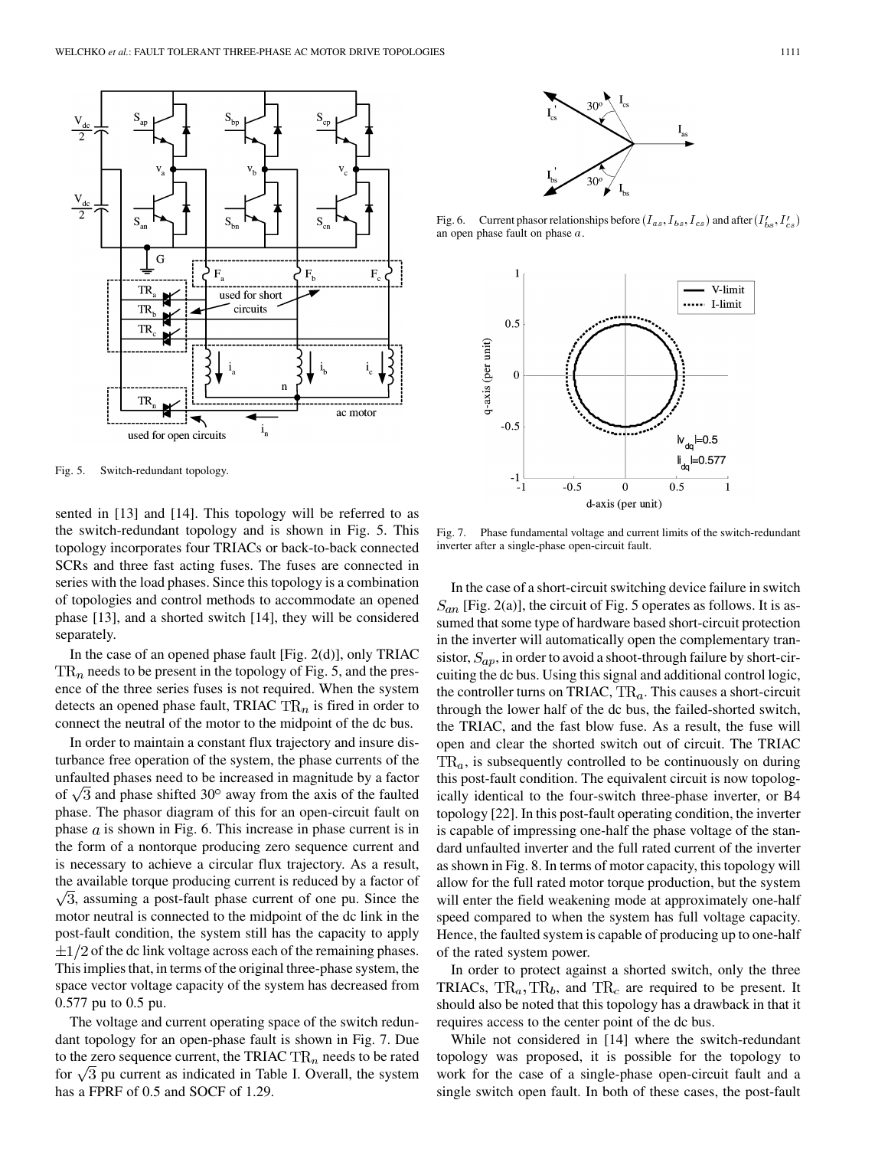

Fig. 5. Switch-redundant topology.



Fig. 6. Current phasor relationships before  $(I_{as}, I_{bs}, I_{cs})$  and after  $(I'_{bs}, I'_{cs})$ an open phase fault on phase a.



sented in [\[13](#page-7-0)] and [[14\]](#page-7-0). This topology will be referred to as the switch-redundant topology and is shown in Fig. 5. This topology incorporates four TRIACs or back-to-back connected SCRs and three fast acting fuses. The fuses are connected in series with the load phases. Since this topology is a combination of topologies and control methods to accommodate an opened phase [\[13](#page-7-0)], and a shorted switch [[14\]](#page-7-0), they will be considered separately.

In the case of an opened phase fault [Fig. 2(d)], only TRIAC  $TR_n$  needs to be present in the topology of Fig. 5, and the presence of the three series fuses is not required. When the system detects an opened phase fault, TRIAC  $TR<sub>n</sub>$  is fired in order to connect the neutral of the motor to the midpoint of the dc bus.

In order to maintain a constant flux trajectory and insure disturbance free operation of the system, the phase currents of the unfaulted phases need to be increased in magnitude by a factor of  $\sqrt{3}$  and phase shifted 30° away from the axis of the faulted phase. The phasor diagram of this for an open-circuit fault on phase  $a$  is shown in Fig. 6. This increase in phase current is in the form of a nontorque producing zero sequence current and is necessary to achieve a circular flux trajectory. As a result, the available torque producing current is reduced by a factor of  $\sqrt{3}$ , assuming a post-fault phase current of one pu. Since the motor neutral is connected to the midpoint of the dc link in the post-fault condition, the system still has the capacity to apply  $\pm 1/2$  of the dc link voltage across each of the remaining phases. This implies that, in terms of the original three-phase system, the space vector voltage capacity of the system has decreased from 0.577 pu to 0.5 pu.

The voltage and current operating space of the switch redundant topology for an open-phase fault is shown in Fig. 7. Due to the zero sequence current, the TRIAC  $TR_n$  needs to be rated for  $\sqrt{3}$  pu current as indicated in Table I. Overall, the system has a FPRF of 0.5 and SOCF of 1.29.

Fig. 7. Phase fundamental voltage and current limits of the switch-redundant inverter after a single-phase open-circuit fault.

In the case of a short-circuit switching device failure in switch  $S_{an}$  [Fig. 2(a)], the circuit of Fig. 5 operates as follows. It is assumed that some type of hardware based short-circuit protection in the inverter will automatically open the complementary transistor,  $S_{ap}$ , in order to avoid a shoot-through failure by short-circuiting the dc bus. Using this signal and additional control logic, the controller turns on TRIAC,  $TR_a$ . This causes a short-circuit through the lower half of the dc bus, the failed-shorted switch, the TRIAC, and the fast blow fuse. As a result, the fuse will open and clear the shorted switch out of circuit. The TRIAC  $TR_a$ , is subsequently controlled to be continuously on during this post-fault condition. The equivalent circuit is now topologically identical to the four-switch three-phase inverter, or B4 topology [[22\]](#page-8-0). In this post-fault operating condition, the inverter is capable of impressing one-half the phase voltage of the standard unfaulted inverter and the full rated current of the inverter as shown in Fig. 8. In terms of motor capacity, this topology will allow for the full rated motor torque production, but the system will enter the field weakening mode at approximately one-half speed compared to when the system has full voltage capacity. Hence, the faulted system is capable of producing up to one-half of the rated system power.

In order to protect against a shorted switch, only the three TRIACs,  $TR_a, TR_b$ , and  $TR_c$  are required to be present. It should also be noted that this topology has a drawback in that it requires access to the center point of the dc bus.

While not considered in [\[14\]](#page-7-0) where the switch-redundant topology was proposed, it is possible for the topology to work for the case of a single-phase open-circuit fault and a single switch open fault. In both of these cases, the post-fault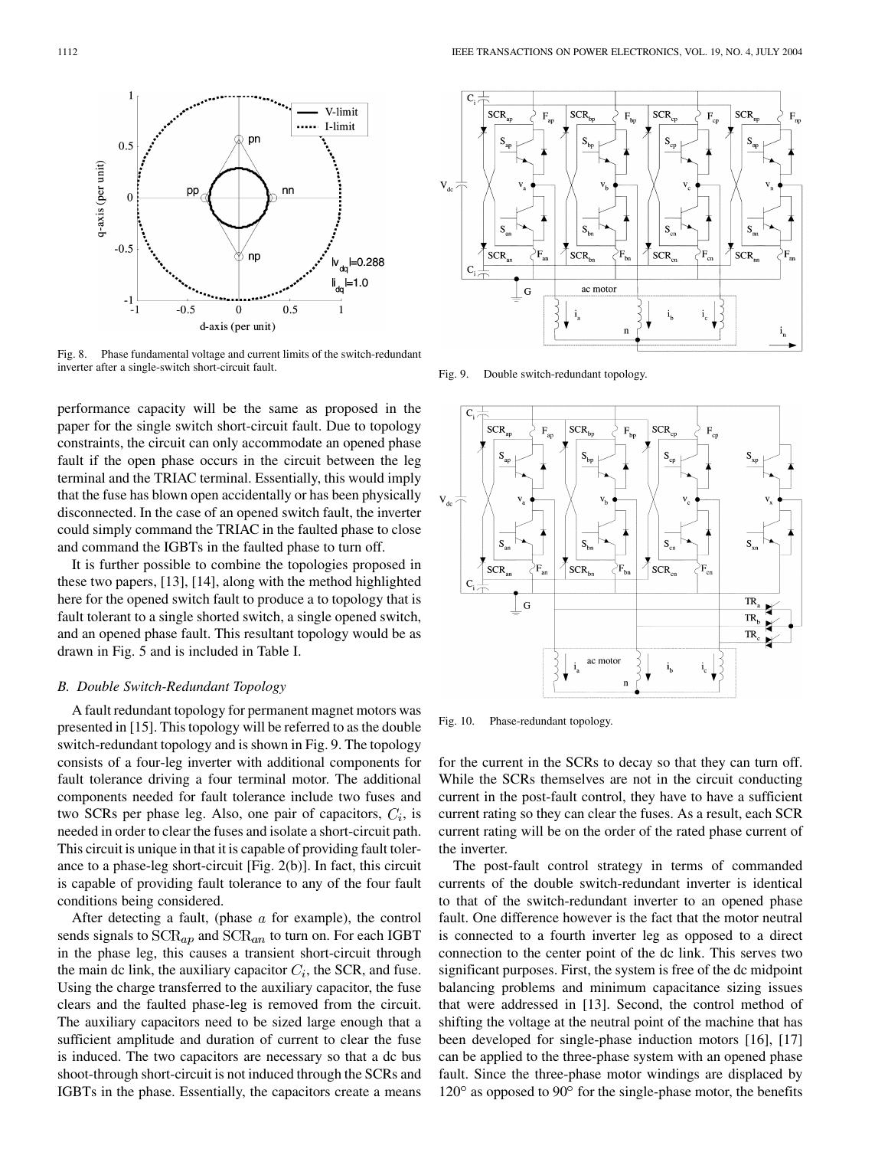

Fig. 8. Phase fundamental voltage and current limits of the switch-redundant inverter after a single-switch short-circuit fault.

performance capacity will be the same as proposed in the paper for the single switch short-circuit fault. Due to topology constraints, the circuit can only accommodate an opened phase fault if the open phase occurs in the circuit between the leg terminal and the TRIAC terminal. Essentially, this would imply that the fuse has blown open accidentally or has been physically disconnected. In the case of an opened switch fault, the inverter could simply command the TRIAC in the faulted phase to close and command the IGBTs in the faulted phase to turn off.

It is further possible to combine the topologies proposed in these two papers, [\[13\]](#page-7-0), [\[14](#page-7-0)], along with the method highlighted here for the opened switch fault to produce a to topology that is fault tolerant to a single shorted switch, a single opened switch, and an opened phase fault. This resultant topology would be as drawn in Fig. 5 and is included in Table I.

#### *B. Double Switch-Redundant Topology*

A fault redundant topology for permanent magnet motors was presented in [[15\]](#page-7-0). This topology will be referred to as the double switch-redundant topology and is shown in Fig. 9. The topology consists of a four-leg inverter with additional components for fault tolerance driving a four terminal motor. The additional components needed for fault tolerance include two fuses and two SCRs per phase leg. Also, one pair of capacitors,  $C_i$ , is needed in order to clear the fuses and isolate a short-circuit path. This circuit is unique in that it is capable of providing fault tolerance to a phase-leg short-circuit [Fig. 2(b)]. In fact, this circuit is capable of providing fault tolerance to any of the four fault conditions being considered.

After detecting a fault, (phase  $a$  for example), the control sends signals to  $\text{SCR}_{ap}$  and  $\text{SCR}_{an}$  to turn on. For each IGBT in the phase leg, this causes a transient short-circuit through the main dc link, the auxiliary capacitor  $C_i$ , the SCR, and fuse. Using the charge transferred to the auxiliary capacitor, the fuse clears and the faulted phase-leg is removed from the circuit. The auxiliary capacitors need to be sized large enough that a sufficient amplitude and duration of current to clear the fuse is induced. The two capacitors are necessary so that a dc bus shoot-through short-circuit is not induced through the SCRs and IGBTs in the phase. Essentially, the capacitors create a means



Fig. 9. Double switch-redundant topology.



Fig. 10. Phase-redundant topology.

for the current in the SCRs to decay so that they can turn off. While the SCRs themselves are not in the circuit conducting current in the post-fault control, they have to have a sufficient current rating so they can clear the fuses. As a result, each SCR current rating will be on the order of the rated phase current of the inverter.

The post-fault control strategy in terms of commanded currents of the double switch-redundant inverter is identical to that of the switch-redundant inverter to an opened phase fault. One difference however is the fact that the motor neutral is connected to a fourth inverter leg as opposed to a direct connection to the center point of the dc link. This serves two significant purposes. First, the system is free of the dc midpoint balancing problems and minimum capacitance sizing issues that were addressed in [\[13](#page-7-0)]. Second, the control method of shifting the voltage at the neutral point of the machine that has been developed for single-phase induction motors [\[16](#page-8-0)], [\[17](#page-8-0)] can be applied to the three-phase system with an opened phase fault. Since the three-phase motor windings are displaced by  $120^\circ$  as opposed to  $90^\circ$  for the single-phase motor, the benefits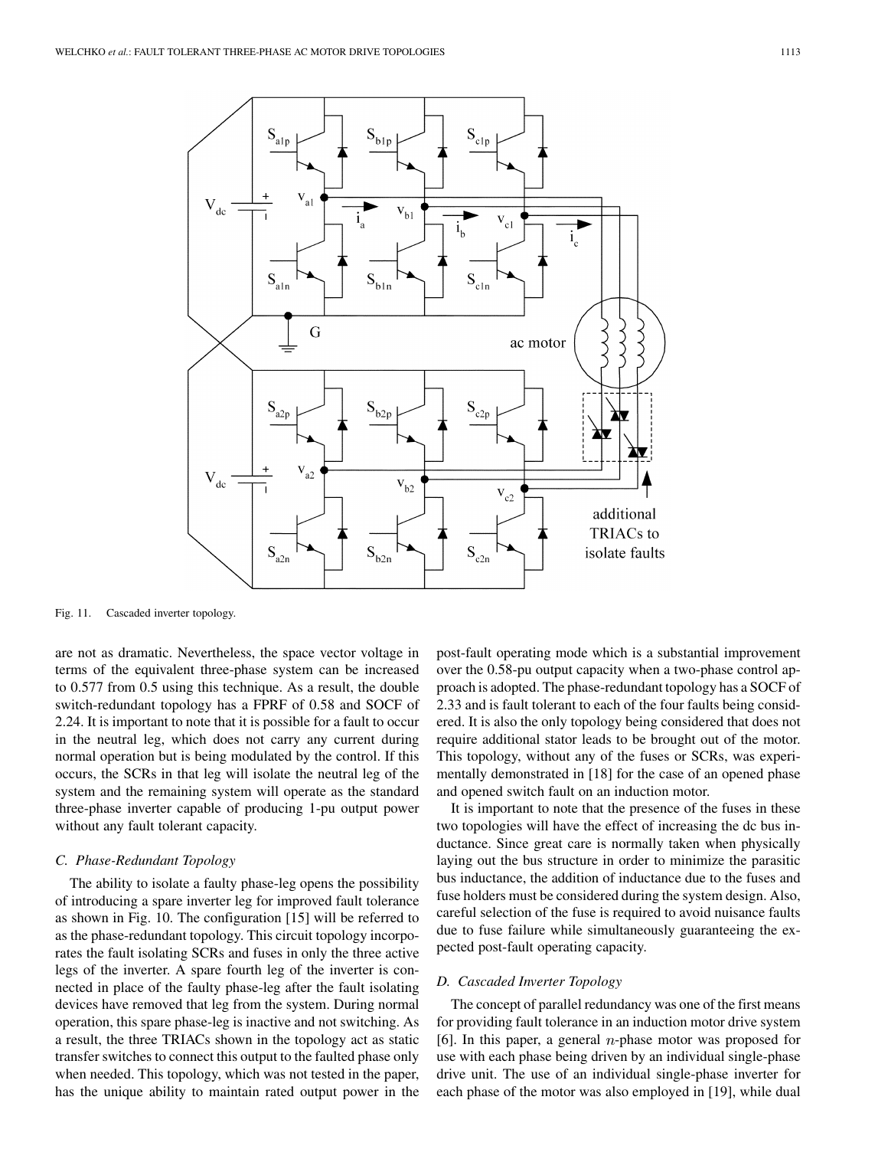

Fig. 11. Cascaded inverter topology.

are not as dramatic. Nevertheless, the space vector voltage in terms of the equivalent three-phase system can be increased to 0.577 from 0.5 using this technique. As a result, the double switch-redundant topology has a FPRF of 0.58 and SOCF of 2.24. It is important to note that it is possible for a fault to occur in the neutral leg, which does not carry any current during normal operation but is being modulated by the control. If this occurs, the SCRs in that leg will isolate the neutral leg of the system and the remaining system will operate as the standard three-phase inverter capable of producing 1-pu output power without any fault tolerant capacity.

#### *C. Phase-Redundant Topology*

The ability to isolate a faulty phase-leg opens the possibility of introducing a spare inverter leg for improved fault tolerance as shown in Fig. 10. The configuration [\[15](#page-7-0)] will be referred to as the phase-redundant topology. This circuit topology incorporates the fault isolating SCRs and fuses in only the three active legs of the inverter. A spare fourth leg of the inverter is connected in place of the faulty phase-leg after the fault isolating devices have removed that leg from the system. During normal operation, this spare phase-leg is inactive and not switching. As a result, the three TRIACs shown in the topology act as static transfer switches to connect this output to the faulted phase only when needed. This topology, which was not tested in the paper, has the unique ability to maintain rated output power in the post-fault operating mode which is a substantial improvement over the 0.58-pu output capacity when a two-phase control approach is adopted. The phase-redundant topology has a SOCF of 2.33 and is fault tolerant to each of the four faults being considered. It is also the only topology being considered that does not require additional stator leads to be brought out of the motor. This topology, without any of the fuses or SCRs, was experimentally demonstrated in [\[18](#page-8-0)] for the case of an opened phase and opened switch fault on an induction motor.

It is important to note that the presence of the fuses in these two topologies will have the effect of increasing the dc bus inductance. Since great care is normally taken when physically laying out the bus structure in order to minimize the parasitic bus inductance, the addition of inductance due to the fuses and fuse holders must be considered during the system design. Also, careful selection of the fuse is required to avoid nuisance faults due to fuse failure while simultaneously guaranteeing the expected post-fault operating capacity.

## *D. Cascaded Inverter Topology*

The concept of parallel redundancy was one of the first means for providing fault tolerance in an induction motor drive system [\[6](#page-7-0)]. In this paper, a general  $n$ -phase motor was proposed for use with each phase being driven by an individual single-phase drive unit. The use of an individual single-phase inverter for each phase of the motor was also employed in [[19\]](#page-8-0), while dual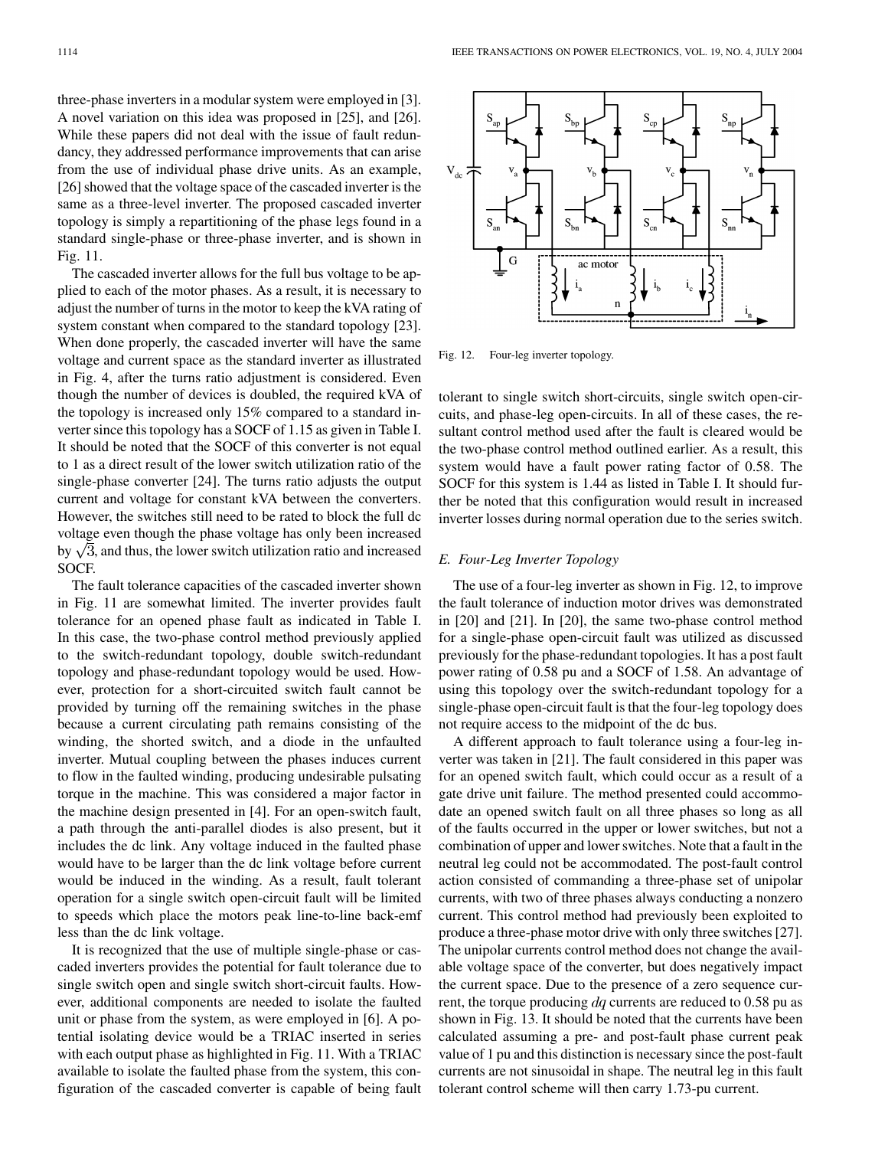three-phase inverters in a modular system were employed in [[3\]](#page-7-0). A novel variation on this idea was proposed in [\[25](#page-8-0)], and [[26\]](#page-8-0). While these papers did not deal with the issue of fault redundancy, they addressed performance improvements that can arise from the use of individual phase drive units. As an example, [[26\]](#page-8-0) showed that the voltage space of the cascaded inverter is the same as a three-level inverter. The proposed cascaded inverter topology is simply a repartitioning of the phase legs found in a standard single-phase or three-phase inverter, and is shown in Fig. 11.

The cascaded inverter allows for the full bus voltage to be applied to each of the motor phases. As a result, it is necessary to adjust the number of turns in the motor to keep the kVA rating of system constant when compared to the standard topology [[23\]](#page-8-0). When done properly, the cascaded inverter will have the same voltage and current space as the standard inverter as illustrated in Fig. 4, after the turns ratio adjustment is considered. Even though the number of devices is doubled, the required kVA of the topology is increased only 15% compared to a standard inverter since this topology has a SOCF of 1.15 as given in Table I. It should be noted that the SOCF of this converter is not equal to 1 as a direct result of the lower switch utilization ratio of the single-phase converter [\[24](#page-8-0)]. The turns ratio adjusts the output current and voltage for constant kVA between the converters. However, the switches still need to be rated to block the full dc voltage even though the phase voltage has only been increased by  $\sqrt{3}$ , and thus, the lower switch utilization ratio and increased SOCF.

The fault tolerance capacities of the cascaded inverter shown in Fig. 11 are somewhat limited. The inverter provides fault tolerance for an opened phase fault as indicated in Table I. In this case, the two-phase control method previously applied to the switch-redundant topology, double switch-redundant topology and phase-redundant topology would be used. However, protection for a short-circuited switch fault cannot be provided by turning off the remaining switches in the phase because a current circulating path remains consisting of the winding, the shorted switch, and a diode in the unfaulted inverter. Mutual coupling between the phases induces current to flow in the faulted winding, producing undesirable pulsating torque in the machine. This was considered a major factor in the machine design presented in [[4\]](#page-7-0). For an open-switch fault, a path through the anti-parallel diodes is also present, but it includes the dc link. Any voltage induced in the faulted phase would have to be larger than the dc link voltage before current would be induced in the winding. As a result, fault tolerant operation for a single switch open-circuit fault will be limited to speeds which place the motors peak line-to-line back-emf less than the dc link voltage.

It is recognized that the use of multiple single-phase or cascaded inverters provides the potential for fault tolerance due to single switch open and single switch short-circuit faults. However, additional components are needed to isolate the faulted unit or phase from the system, as were employed in [[6\]](#page-7-0). A potential isolating device would be a TRIAC inserted in series with each output phase as highlighted in Fig. 11. With a TRIAC available to isolate the faulted phase from the system, this configuration of the cascaded converter is capable of being fault



Fig. 12. Four-leg inverter topology.

tolerant to single switch short-circuits, single switch open-circuits, and phase-leg open-circuits. In all of these cases, the resultant control method used after the fault is cleared would be the two-phase control method outlined earlier. As a result, this system would have a fault power rating factor of 0.58. The SOCF for this system is 1.44 as listed in Table I. It should further be noted that this configuration would result in increased inverter losses during normal operation due to the series switch.

# *E. Four-Leg Inverter Topology*

The use of a four-leg inverter as shown in Fig. 12, to improve the fault tolerance of induction motor drives was demonstrated in [\[20](#page-8-0)] and [[21\]](#page-8-0). In [\[20](#page-8-0)], the same two-phase control method for a single-phase open-circuit fault was utilized as discussed previously for the phase-redundant topologies. It has a post fault power rating of 0.58 pu and a SOCF of 1.58. An advantage of using this topology over the switch-redundant topology for a single-phase open-circuit fault is that the four-leg topology does not require access to the midpoint of the dc bus.

A different approach to fault tolerance using a four-leg inverter was taken in [[21\]](#page-8-0). The fault considered in this paper was for an opened switch fault, which could occur as a result of a gate drive unit failure. The method presented could accommodate an opened switch fault on all three phases so long as all of the faults occurred in the upper or lower switches, but not a combination of upper and lower switches. Note that a fault in the neutral leg could not be accommodated. The post-fault control action consisted of commanding a three-phase set of unipolar currents, with two of three phases always conducting a nonzero current. This control method had previously been exploited to produce a three-phase motor drive with only three switches [[27\]](#page-8-0). The unipolar currents control method does not change the available voltage space of the converter, but does negatively impact the current space. Due to the presence of a zero sequence current, the torque producing  $dq$  currents are reduced to 0.58 pu as shown in Fig. 13. It should be noted that the currents have been calculated assuming a pre- and post-fault phase current peak value of 1 pu and this distinction is necessary since the post-fault currents are not sinusoidal in shape. The neutral leg in this fault tolerant control scheme will then carry 1.73-pu current.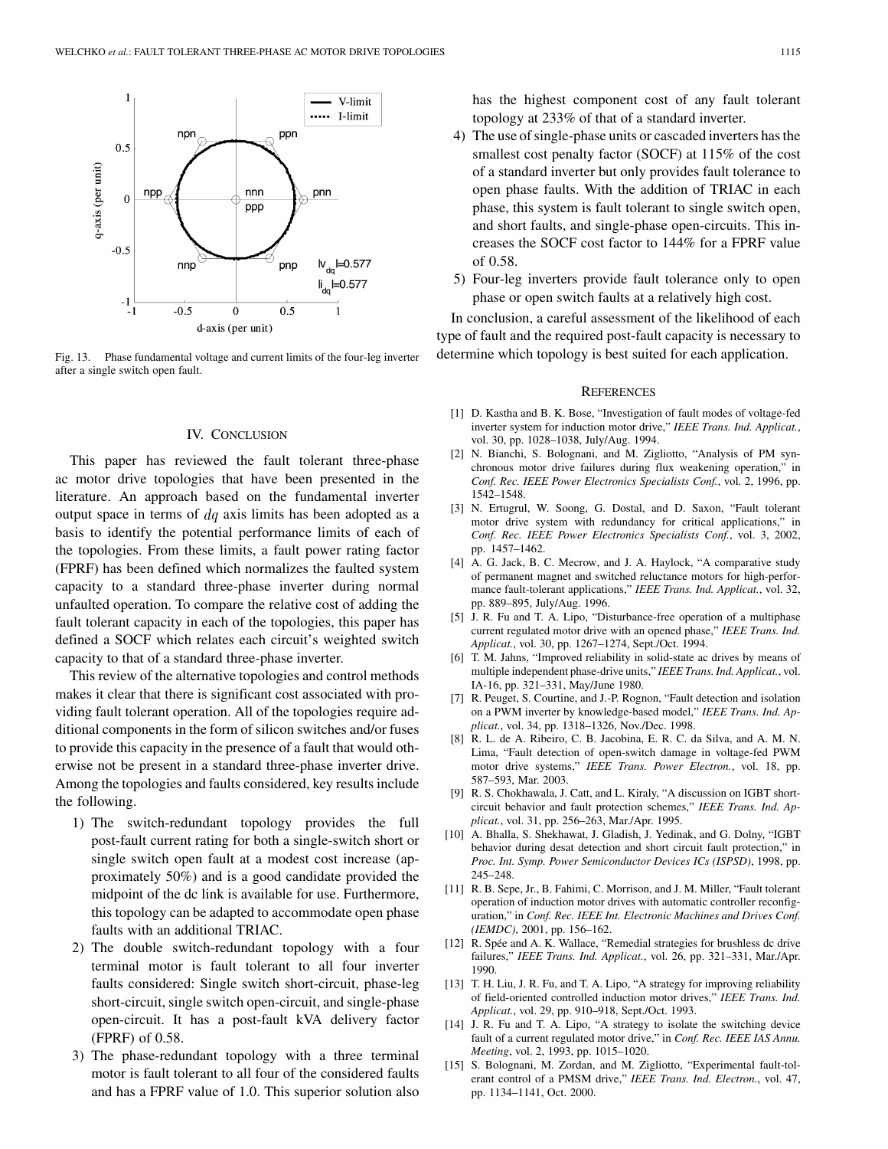<span id="page-7-0"></span>

Fig. 13. Phase fundamental voltage and current limits of the four-leg inverter after a single switch open fault.

#### IV. CONCLUSION

This paper has reviewed the fault tolerant three-phase ac motor drive topologies that have been presented in the literature. An approach based on the fundamental inverter output space in terms of  $dq$  axis limits has been adopted as a basis to identify the potential performance limits of each of the topologies. From these limits, a fault power rating factor (FPRF) has been defined which normalizes the faulted system capacity to a standard three-phase inverter during normal unfaulted operation. To compare the relative cost of adding the fault tolerant capacity in each of the topologies, this paper has defined a SOCF which relates each circuit's weighted switch capacity to that of a standard three-phase inverter.

This review of the alternative topologies and control methods makes it clear that there is significant cost associated with providing fault tolerant operation. All of the topologies require additional components in the form of silicon switches and/or fuses to provide this capacity in the presence of a fault that would otherwise not be present in a standard three-phase inverter drive. Among the topologies and faults considered, key results include the following.

- 1) The switch-redundant topology provides the full post-fault current rating for both a single-switch short or single switch open fault at a modest cost increase (approximately 50%) and is a good candidate provided the midpoint of the dc link is available for use. Furthermore, this topology can be adapted to accommodate open phase faults with an additional TRIAC.
- 2) The double switch-redundant topology with a four terminal motor is fault tolerant to all four inverter faults considered: Single switch short-circuit, phase-leg short-circuit, single switch open-circuit, and single-phase open-circuit. It has a post-fault kVA delivery factor (FPRF) of 0.58.
- 3) The phase-redundant topology with a three terminal motor is fault tolerant to all four of the considered faults and has a FPRF value of 1.0. This superior solution also

has the highest component cost of any fault tolerant topology at 233% of that of a standard inverter.

- 4) The use of single-phase units or cascaded inverters has the smallest cost penalty factor (SOCF) at 115% of the cost of a standard inverter but only provides fault tolerance to open phase faults. With the addition of TRIAC in each phase, this system is fault tolerant to single switch open, and short faults, and single-phase open-circuits. This increases the SOCF cost factor to 144% for a FPRF value of 0.58.
- 5) Four-leg inverters provide fault tolerance only to open phase or open switch faults at a relatively high cost.

In conclusion, a careful assessment of the likelihood of each type of fault and the required post-fault capacity is necessary to determine which topology is best suited for each application.

#### **REFERENCES**

- [1] D. Kastha and B. K. Bose, "Investigation of fault modes of voltage-fed inverter system for induction motor drive," *IEEE Trans. Ind. Applicat.*, vol. 30, pp. 1028–1038, July/Aug. 1994.
- [2] N. Bianchi, S. Bolognani, and M. Zigliotto, "Analysis of PM synchronous motor drive failures during flux weakening operation," in *Conf. Rec. IEEE Power Electronics Specialists Conf.*, vol. 2, 1996, pp. 1542–1548.
- [3] N. Ertugrul, W. Soong, G. Dostal, and D. Saxon, "Fault tolerant motor drive system with redundancy for critical applications," in *Conf. Rec. IEEE Power Electronics Specialists Conf.*, vol. 3, 2002, pp. 1457–1462.
- [4] A. G. Jack, B. C. Mecrow, and J. A. Haylock, "A comparative study of permanent magnet and switched reluctance motors for high-performance fault-tolerant applications," *IEEE Trans. Ind. Applicat.*, vol. 32, pp. 889–895, July/Aug. 1996.
- [5] J. R. Fu and T. A. Lipo, "Disturbance-free operation of a multiphase current regulated motor drive with an opened phase," *IEEE Trans. Ind. Applicat.*, vol. 30, pp. 1267–1274, Sept./Oct. 1994.
- [6] T. M. Jahns, "Improved reliability in solid-state ac drives by means of multiple independent phase-drive units," *IEEE Trans. Ind. Applicat.*, vol. IA-16, pp. 321–331, May/June 1980.
- [7] R. Peuget, S. Courtine, and J.-P. Rognon, "Fault detection and isolation on a PWM inverter by knowledge-based model," *IEEE Trans. Ind. Applicat.*, vol. 34, pp. 1318–1326, Nov./Dec. 1998.
- [8] R. L. de A. Ribeiro, C. B. Jacobina, E. R. C. da Silva, and A. M. N. Lima, "Fault detection of open-switch damage in voltage-fed PWM motor drive systems," *IEEE Trans. Power Electron.*, vol. 18, pp. 587–593, Mar. 2003.
- [9] R. S. Chokhawala, J. Catt, and L. Kiraly, "A discussion on IGBT shortcircuit behavior and fault protection schemes," *IEEE Trans. Ind. Applicat.*, vol. 31, pp. 256–263, Mar./Apr. 1995.
- [10] A. Bhalla, S. Shekhawat, J. Gladish, J. Yedinak, and G. Dolny, "IGBT behavior during desat detection and short circuit fault protection," in *Proc. Int. Symp. Power Semiconductor Devices ICs (ISPSD)*, 1998, pp. 245–248.
- [11] R. B. Sepe, Jr., B. Fahimi, C. Morrison, and J. M. Miller, "Fault tolerant operation of induction motor drives with automatic controller reconfiguration," in *Conf. Rec. IEEE Int. Electronic Machines and Drives Conf. (IEMDC)*, 2001, pp. 156–162.
- [12] R. Spée and A. K. Wallace, "Remedial strategies for brushless dc drive failures," *IEEE Trans. Ind. Applicat.*, vol. 26, pp. 321–331, Mar./Apr. 1990.
- [13] T. H. Liu, J. R. Fu, and T. A. Lipo, "A strategy for improving reliability of field-oriented controlled induction motor drives," *IEEE Trans. Ind. Applicat.*, vol. 29, pp. 910–918, Sept./Oct. 1993.
- [14] J. R. Fu and T. A. Lipo, "A strategy to isolate the switching device fault of a current regulated motor drive," in *Conf. Rec. IEEE IAS Annu. Meeting*, vol. 2, 1993, pp. 1015–1020.
- [15] S. Bolognani, M. Zordan, and M. Zigliotto, "Experimental fault-tolerant control of a PMSM drive," *IEEE Trans. Ind. Electron.*, vol. 47, pp. 1134–1141, Oct. 2000.